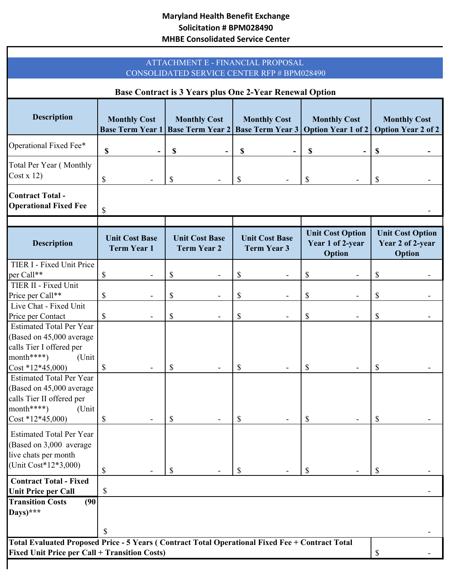## **Maryland Health Benefit Exchange Solicitation # BPM028490 MHBE Consolidated Service Center**

| ATTACHMENT E - FINANCIAL PROPOSAL<br>CONSOLIDATED SERVICE CENTER RFP # BPM028490<br>Base Contract is 3 Years plus One 2-Year Renewal Option             |                                                       |                                 |                                             |          |                                             |          |                                                       |          |                                                       |                        |                                                |    |                                                |    |                                                                   |    |                     |    |                                                  |
|---------------------------------------------------------------------------------------------------------------------------------------------------------|-------------------------------------------------------|---------------------------------|---------------------------------------------|----------|---------------------------------------------|----------|-------------------------------------------------------|----------|-------------------------------------------------------|------------------------|------------------------------------------------|----|------------------------------------------------|----|-------------------------------------------------------------------|----|---------------------|----|--------------------------------------------------|
|                                                                                                                                                         |                                                       |                                 |                                             |          |                                             |          |                                                       |          |                                                       | <b>Description</b>     | <b>Monthly Cost</b><br><b>Base Term Year 1</b> |    | <b>Monthly Cost</b><br><b>Base Term Year 2</b> |    | <b>Monthly Cost</b><br><b>Base Term Year 3 Option Year 1 of 2</b> |    | <b>Monthly Cost</b> |    | <b>Monthly Cost</b><br><b>Option Year 2 of 2</b> |
|                                                                                                                                                         |                                                       |                                 |                                             |          |                                             |          |                                                       |          |                                                       | Operational Fixed Fee* | \$                                             | \$ |                                                | \$ |                                                                   | \$ |                     | \$ |                                                  |
| Total Per Year (Monthly<br>Cost x 12)                                                                                                                   | \$                                                    | \$                              |                                             | \$       |                                             | \$       |                                                       | \$       |                                                       |                        |                                                |    |                                                |    |                                                                   |    |                     |    |                                                  |
| <b>Contract Total-</b><br><b>Operational Fixed Fee</b>                                                                                                  | \$                                                    |                                 |                                             |          |                                             |          |                                                       |          |                                                       |                        |                                                |    |                                                |    |                                                                   |    |                     |    |                                                  |
| <b>Description</b>                                                                                                                                      | <b>Unit Cost Base</b><br><b>Term Year 1</b>           |                                 | <b>Unit Cost Base</b><br><b>Term Year 2</b> |          | <b>Unit Cost Base</b><br><b>Term Year 3</b> |          | <b>Unit Cost Option</b><br>Year 1 of 2-year<br>Option |          | <b>Unit Cost Option</b><br>Year 2 of 2-year<br>Option |                        |                                                |    |                                                |    |                                                                   |    |                     |    |                                                  |
| TIER I - Fixed Unit Price<br>per Call**                                                                                                                 | \$<br>$\qquad \qquad \blacksquare$                    | \$                              |                                             | \$       |                                             | \$       |                                                       | \$       |                                                       |                        |                                                |    |                                                |    |                                                                   |    |                     |    |                                                  |
| TIER II - Fixed Unit<br>Price per Call**                                                                                                                | \$<br>$\qquad \qquad -$                               | \$                              |                                             | \$       |                                             | \$       |                                                       | \$       |                                                       |                        |                                                |    |                                                |    |                                                                   |    |                     |    |                                                  |
| Live Chat - Fixed Unit<br>Price per Contact                                                                                                             | $\boldsymbol{\mathsf{S}}$<br>$\overline{\phantom{a}}$ | \$                              | $\overline{\phantom{0}}$                    | \$       | $\overline{\phantom{a}}$                    | \$       |                                                       | \$       |                                                       |                        |                                                |    |                                                |    |                                                                   |    |                     |    |                                                  |
| <b>Estimated Total Per Year</b><br>(Based on 45,000 average<br>calls Tier I offered per<br>$month****)$<br>(Unit<br>$Cost * 12 * 45,000$                | \$                                                    | \$                              |                                             | \$       |                                             | \$       |                                                       | \$       |                                                       |                        |                                                |    |                                                |    |                                                                   |    |                     |    |                                                  |
| <b>Estimated Total Per Year</b><br>(Based on 45,000 average<br>calls Tier II offered per<br>month****)<br>(Unit                                         |                                                       |                                 |                                             |          |                                             |          |                                                       |          |                                                       |                        |                                                |    |                                                |    |                                                                   |    |                     |    |                                                  |
| $Cost * 12 * 45,000$<br><b>Estimated Total Per Year</b><br>(Based on 3,000 average<br>live chats per month<br>(Unit Cost*12*3,000)                      | \$<br>\$                                              | $\boldsymbol{\mathsf{S}}$<br>\$ |                                             | \$<br>\$ |                                             | \$<br>\$ |                                                       | \$<br>\$ |                                                       |                        |                                                |    |                                                |    |                                                                   |    |                     |    |                                                  |
| <b>Contract Total - Fixed</b><br><b>Unit Price per Call</b>                                                                                             | \$                                                    |                                 |                                             |          |                                             |          |                                                       |          |                                                       |                        |                                                |    |                                                |    |                                                                   |    |                     |    |                                                  |
| <b>Transition Costs</b><br>(90)<br>Days)***                                                                                                             | $\mathbf S$                                           |                                 |                                             |          |                                             |          |                                                       |          |                                                       |                        |                                                |    |                                                |    |                                                                   |    |                     |    |                                                  |
| Total Evaluated Proposed Price - 5 Years (Contract Total Operational Fixed Fee + Contract Total<br><b>Fixed Unit Price per Call + Transition Costs)</b> |                                                       |                                 |                                             |          |                                             |          |                                                       | \$       |                                                       |                        |                                                |    |                                                |    |                                                                   |    |                     |    |                                                  |